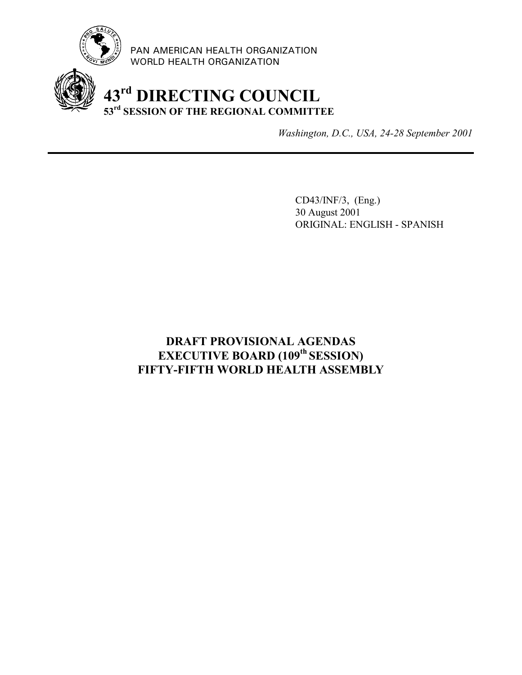

PAN AMERICAN HEALTH ORGANIZATION WORLD HEALTH ORGANIZATION

### **43rd DIRECTING COUNCIL 53rd SESSION OF THE REGIONAL COMMITTEE**

*Washington, D.C., USA, 24-28 September 2001*

CD43/INF/3, (Eng.) 30 August 2001 ORIGINAL: ENGLISH - SPANISH

### **DRAFT PROVISIONAL AGENDAS EXECUTIVE BOARD (109th SESSION) FIFTY-FIFTH WORLD HEALTH ASSEMBLY**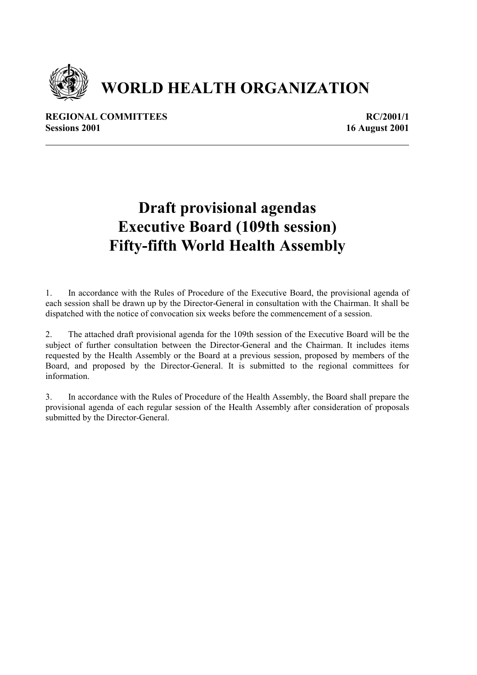

# **WORLD HEALTH ORGANIZATION**

**REGIONAL COMMITTEES** REGIONAL REGIONAL REGIONAL REGIONAL REGIONAL REGIONAL REGIONAL REGIONAL REGIONAL REGIONAL REGIONAL REGIONAL REGIONAL REGIONAL REGIONAL REGIONAL REGIONAL REGIONAL REGIONAL REGIONAL REGIONAL REGIONAL RE **Sessions 2001** 16 August 2001

## **Draft provisional agendas Executive Board (109th session) Fifty-fifth World Health Assembly**

1. In accordance with the Rules of Procedure of the Executive Board, the provisional agenda of each session shall be drawn up by the Director-General in consultation with the Chairman. It shall be dispatched with the notice of convocation six weeks before the commencement of a session.

2. The attached draft provisional agenda for the 109th session of the Executive Board will be the subject of further consultation between the Director-General and the Chairman. It includes items requested by the Health Assembly or the Board at a previous session, proposed by members of the Board, and proposed by the Director-General. It is submitted to the regional committees for information.

3. In accordance with the Rules of Procedure of the Health Assembly, the Board shall prepare the provisional agenda of each regular session of the Health Assembly after consideration of proposals submitted by the Director-General.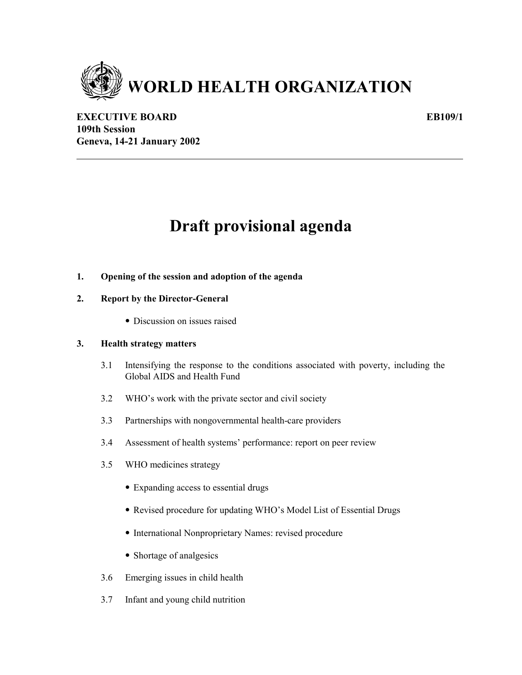

**EXECUTIVE BOARD** EB109/1 **109th Session Geneva, 14-21 January 2002**

## **Draft provisional agenda**

#### **1. Opening of the session and adoption of the agenda**

#### **2. Report by the Director-General**

• Discussion on issues raised

#### **3. Health strategy matters**

- 3.1 Intensifying the response to the conditions associated with poverty, including the Global AIDS and Health Fund
- 3.2 WHO's work with the private sector and civil society
- 3.3 Partnerships with nongovernmental health-care providers
- 3.4 Assessment of health systems' performance: report on peer review
- 3.5 WHO medicines strategy
	- Expanding access to essential drugs
	- Revised procedure for updating WHO's Model List of Essential Drugs
	- International Nonproprietary Names: revised procedure
	- Shortage of analgesics
- 3.6 Emerging issues in child health
- 3.7 Infant and young child nutrition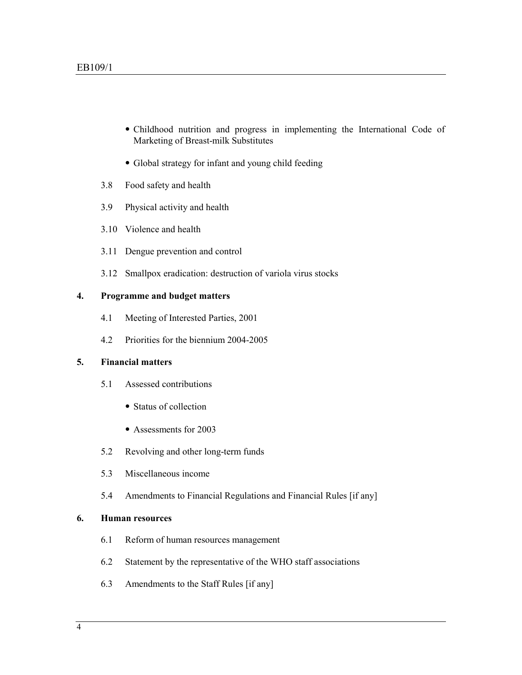- Childhood nutrition and progress in implementing the International Code of Marketing of Breast-milk Substitutes
- Global strategy for infant and young child feeding
- 3.8 Food safety and health
- 3.9 Physical activity and health
- 3.10 Violence and health
- 3.11 Dengue prevention and control
- 3.12 Smallpox eradication: destruction of variola virus stocks

#### **4. Programme and budget matters**

- 4.1 Meeting of Interested Parties, 2001
- 4.2 Priorities for the biennium 2004-2005

#### **5. Financial matters**

- 5.1 Assessed contributions
	- Status of collection
	- Assessments for 2003
- 5.2 Revolving and other long-term funds
- 5.3 Miscellaneous income
- 5.4 Amendments to Financial Regulations and Financial Rules [if any]

#### **6. Human resources**

- 6.1 Reform of human resources management
- 6.2 Statement by the representative of the WHO staff associations
- 6.3 Amendments to the Staff Rules [if any]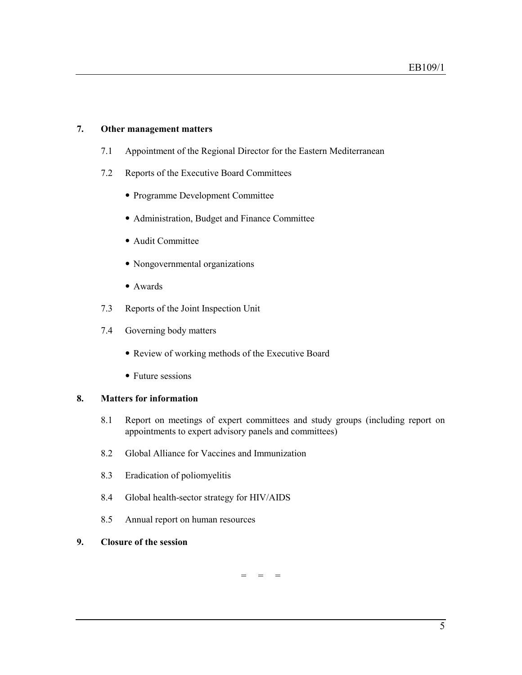#### **7. Other management matters**

- 7.1 Appointment of the Regional Director for the Eastern Mediterranean
- 7.2 Reports of the Executive Board Committees
	- Programme Development Committee
	- Administration, Budget and Finance Committee
	- Audit Committee
	- Nongovernmental organizations
	- Awards
- 7.3 Reports of the Joint Inspection Unit
- 7.4 Governing body matters
	- Review of working methods of the Executive Board
	- Future sessions

#### **8. Matters for information**

- 8.1 Report on meetings of expert committees and study groups (including report on appointments to expert advisory panels and committees)
- 8.2 Global Alliance for Vaccines and Immunization
- 8.3 Eradication of poliomyelitis
- 8.4 Global health-sector strategy for HIV/AIDS
- 8.5 Annual report on human resources

#### **9. Closure of the session**

 $=$   $=$   $=$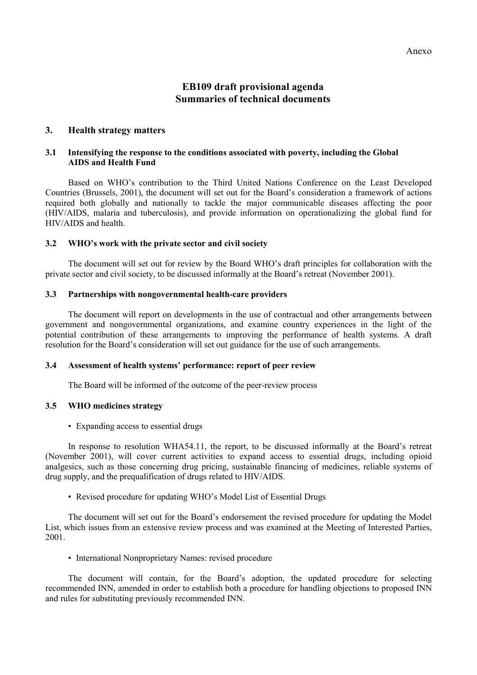### **EB109 draft provisional agenda Summaries of technical documents**

#### **3. Health strategy matters**

#### **3.1 Intensifying the response to the conditions associated with poverty, including the Global AIDS and Health Fund**

Based on WHO's contribution to the Third United Nations Conference on the Least Developed Countries (Brussels, 2001), the document will set out for the Board's consideration a framework of actions required both globally and nationally to tackle the major communicable diseases affecting the poor (HIV/AIDS, malaria and tuberculosis), and provide information on operationalizing the global fund for HIV/AIDS and health.

#### **3.2 WHO's work with the private sector and civil society**

The document will set out for review by the Board WHO's draft principles for collaboration with the private sector and civil society, to be discussed informally at the Board's retreat (November 2001).

#### **3.3 Partnerships with nongovernmental health-care providers**

The document will report on developments in the use of contractual and other arrangements between government and nongovernmental organizations, and examine country experiences in the light of the potential contribution of these arrangements to improving the performance of health systems. A draft resolution for the Board's consideration will set out guidance for the use of such arrangements.

#### **3.4 Assessment of health systems' performance: report of peer review**

The Board will be informed of the outcome of the peer-review process

#### **3.5 WHO medicines strategy**

• Expanding access to essential drugs

In response to resolution WHA54.11, the report, to be discussed informally at the Board's retreat (November 2001), will cover current activities to expand access to essential drugs, including opioid analgesics, such as those concerning drug pricing, sustainable financing of medicines, reliable systems of drug supply, and the prequalification of drugs related to HIV/AIDS.

• Revised procedure for updating WHO's Model List of Essential Drugs

The document will set out for the Board's endorsement the revised procedure for updating the Model List, which issues from an extensive review process and was examined at the Meeting of Interested Parties, 2001.

• International Nonproprietary Names: revised procedure

The document will contain, for the Board's adoption, the updated procedure for selecting recommended INN, amended in order to establish both a procedure for handling objections to proposed INN and rules for substituting previously recommended INN.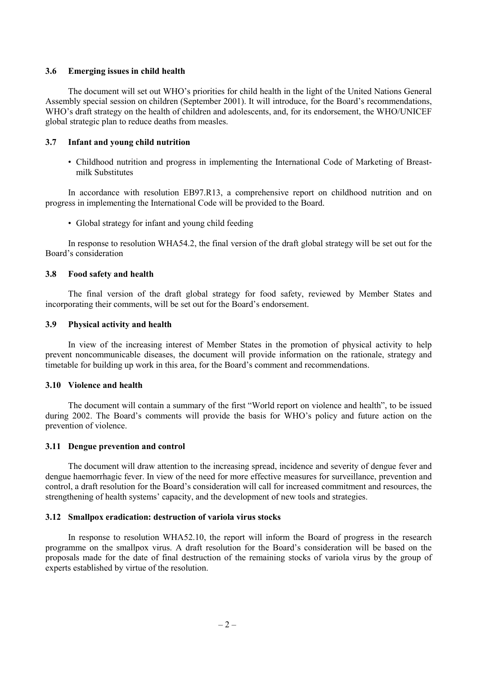#### **3.6 Emerging issues in child health**

The document will set out WHO's priorities for child health in the light of the United Nations General Assembly special session on children (September 2001). It will introduce, for the Board's recommendations, WHO's draft strategy on the health of children and adolescents, and, for its endorsement, the WHO/UNICEF global strategic plan to reduce deaths from measles.

#### **3.7 Infant and young child nutrition**

• Childhood nutrition and progress in implementing the International Code of Marketing of Breastmilk Substitutes

In accordance with resolution EB97.R13, a comprehensive report on childhood nutrition and on progress in implementing the International Code will be provided to the Board.

• Global strategy for infant and young child feeding

In response to resolution WHA54.2, the final version of the draft global strategy will be set out for the Board's consideration

#### **3.8 Food safety and health**

The final version of the draft global strategy for food safety, reviewed by Member States and incorporating their comments, will be set out for the Board's endorsement.

#### **3.9 Physical activity and health**

In view of the increasing interest of Member States in the promotion of physical activity to help prevent noncommunicable diseases, the document will provide information on the rationale, strategy and timetable for building up work in this area, for the Board's comment and recommendations.

#### **3.10 Violence and health**

The document will contain a summary of the first "World report on violence and health", to be issued during 2002. The Board's comments will provide the basis for WHO's policy and future action on the prevention of violence.

#### **3.11 Dengue prevention and control**

The document will draw attention to the increasing spread, incidence and severity of dengue fever and dengue haemorrhagic fever. In view of the need for more effective measures for surveillance, prevention and control, a draft resolution for the Board's consideration will call for increased commitment and resources, the strengthening of health systems' capacity, and the development of new tools and strategies.

#### **3.12 Smallpox eradication: destruction of variola virus stocks**

In response to resolution WHA52.10, the report will inform the Board of progress in the research programme on the smallpox virus. A draft resolution for the Board's consideration will be based on the proposals made for the date of final destruction of the remaining stocks of variola virus by the group of experts established by virtue of the resolution.